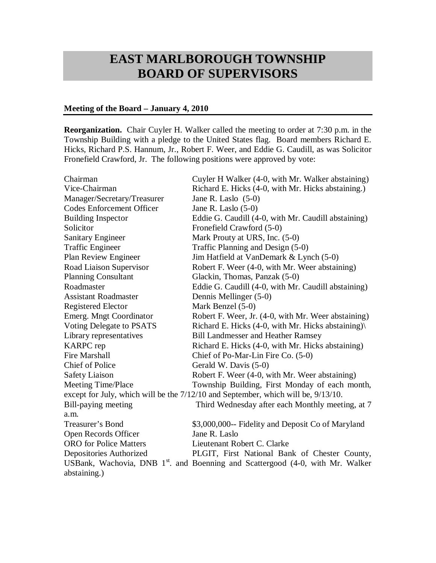## **EAST MARLBOROUGH TOWNSHIP BOARD OF SUPERVISORS**

## **Meeting of the Board – January 4, 2010**

**Reorganization.** Chair Cuyler H. Walker called the meeting to order at 7:30 p.m. in the Township Building with a pledge to the United States flag. Board members Richard E. Hicks, Richard P.S. Hannum, Jr., Robert F. Weer, and Eddie G. Caudill, as was Solicitor Fronefield Crawford, Jr. The following positions were approved by vote:

| Chairman                                                                          | Cuyler H Walker (4-0, with Mr. Walker abstaining)                                          |  |
|-----------------------------------------------------------------------------------|--------------------------------------------------------------------------------------------|--|
| Vice-Chairman                                                                     | Richard E. Hicks (4-0, with Mr. Hicks abstaining.)                                         |  |
| Manager/Secretary/Treasurer                                                       | Jane R. Laslo $(5-0)$                                                                      |  |
| <b>Codes Enforcement Officer</b>                                                  | Jane R. Laslo $(5-0)$                                                                      |  |
| <b>Building Inspector</b>                                                         | Eddie G. Caudill (4-0, with Mr. Caudill abstaining)                                        |  |
| Solicitor                                                                         | Fronefield Crawford (5-0)                                                                  |  |
| <b>Sanitary Engineer</b>                                                          | Mark Prouty at URS, Inc. (5-0)                                                             |  |
| <b>Traffic Engineer</b>                                                           | Traffic Planning and Design (5-0)                                                          |  |
| Plan Review Engineer                                                              | Jim Hatfield at VanDemark & Lynch (5-0)                                                    |  |
| Road Liaison Supervisor                                                           | Robert F. Weer (4-0, with Mr. Weer abstaining)                                             |  |
| <b>Planning Consultant</b>                                                        | Glackin, Thomas, Panzak (5-0)                                                              |  |
| Roadmaster                                                                        | Eddie G. Caudill (4-0, with Mr. Caudill abstaining)                                        |  |
| <b>Assistant Roadmaster</b>                                                       | Dennis Mellinger (5-0)                                                                     |  |
| <b>Registered Elector</b>                                                         | Mark Benzel (5-0)                                                                          |  |
| Emerg. Mngt Coordinator                                                           | Robert F. Weer, Jr. (4-0, with Mr. Weer abstaining)                                        |  |
| Voting Delegate to PSATS                                                          | Richard E. Hicks (4-0, with Mr. Hicks abstaining)                                          |  |
| Library representatives                                                           | <b>Bill Landmesser and Heather Ramsey</b>                                                  |  |
| <b>KARPC</b> rep                                                                  | Richard E. Hicks (4-0, with Mr. Hicks abstaining)                                          |  |
| <b>Fire Marshall</b>                                                              | Chief of Po-Mar-Lin Fire Co. (5-0)                                                         |  |
| <b>Chief of Police</b>                                                            | Gerald W. Davis (5-0)                                                                      |  |
| <b>Safety Liaison</b>                                                             | Robert F. Weer (4-0, with Mr. Weer abstaining)                                             |  |
| <b>Meeting Time/Place</b>                                                         | Township Building, First Monday of each month,                                             |  |
| except for July, which will be the 7/12/10 and September, which will be, 9/13/10. |                                                                                            |  |
| Bill-paying meeting                                                               | Third Wednesday after each Monthly meeting, at 7                                           |  |
| a.m.                                                                              |                                                                                            |  |
| Treasurer's Bond                                                                  | \$3,000,000-- Fidelity and Deposit Co of Maryland                                          |  |
| Open Records Officer                                                              | Jane R. Laslo                                                                              |  |
| <b>ORO</b> for Police Matters                                                     | Lieutenant Robert C. Clarke                                                                |  |
| Depositories Authorized                                                           | PLGIT, First National Bank of Chester County,                                              |  |
|                                                                                   | USBank, Wachovia, DNB 1 <sup>st</sup> . and Boenning and Scattergood (4-0, with Mr. Walker |  |
| abstaining.)                                                                      |                                                                                            |  |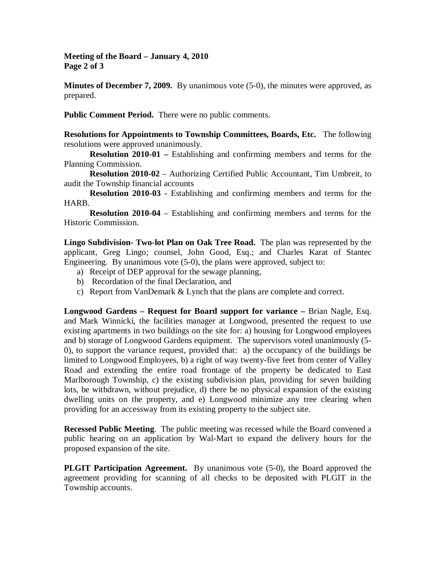**Meeting of the Board – January 4, 2010 Page 2 of 3**

**Minutes of December 7, 2009.** By unanimous vote (5-0), the minutes were approved, as prepared.

**Public Comment Period.** There were no public comments.

**Resolutions for Appointments to Township Committees, Boards, Etc.** The following resolutions were approved unanimously.

**Resolution 2010-01 –** Establishing and confirming members and terms for the Planning Commission.

**Resolution 2010-02** – Authorizing Certified Public Accountant, Tim Umbreit, to audit the Township financial accounts

**Resolution 2010-03 -** Establishing and confirming members and terms for the HARB.

**Resolution 2010-04** – Establishing and confirming members and terms for the Historic Commission.

**Lingo Subdivision- Two-lot Plan on Oak Tree Road.** The plan was represented by the applicant, Greg Lingo; counsel, John Good, Esq.; and Charles Karat of Stantec Engineering. By unanimous vote (5-0), the plans were approved, subject to:

- a) Receipt of DEP approval for the sewage planning,
- b) Recordation of the final Declaration, and
- c) Report from VanDemark & Lynch that the plans are complete and correct.

**Longwood Gardens – Request for Board support for variance –** Brian Nagle, Esq. and Mark Winnicki, the facilities manager at Longwood, presented the request to use existing apartments in two buildings on the site for: a) housing for Longwood employees and b) storage of Longwood Gardens equipment. The supervisors voted unanimously (5- 0), to support the variance request, provided that: a) the occupancy of the buildings be limited to Longwood Employees, b) a right of way twenty-five feet from center of Valley Road and extending the entire road frontage of the property be dedicated to East Marlborough Township, c) the existing subdivision plan, providing for seven building lots, be withdrawn, without prejudice, d) there be no physical expansion of the existing dwelling units on the property, and e) Longwood minimize any tree clearing when providing for an accessway from its existing property to the subject site.

**Recessed Public Meeting**. The public meeting was recessed while the Board convened a public hearing on an application by Wal-Mart to expand the delivery hours for the proposed expansion of the site.

**PLGIT Participation Agreement.** By unanimous vote (5-0), the Board approved the agreement providing for scanning of all checks to be deposited with PLGIT in the Township accounts.